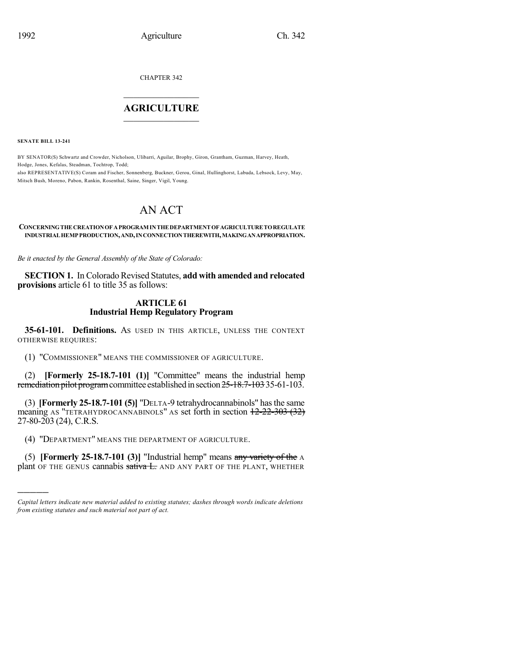CHAPTER 342

## $\mathcal{L}_\text{max}$  . The set of the set of the set of the set of the set of the set of the set of the set of the set of the set of the set of the set of the set of the set of the set of the set of the set of the set of the set **AGRICULTURE**  $\_$   $\_$   $\_$   $\_$   $\_$   $\_$   $\_$   $\_$

**SENATE BILL 13-241**

)))))

BY SENATOR(S) Schwartz and Crowder, Nicholson, Ulibarri, Aguilar, Brophy, Giron, Grantham, Guzman, Harvey, Heath, Hodge, Jones, Kefalas, Steadman, Tochtrop, Todd; also REPRESENTATIVE(S) Coram and Fischer, Sonnenberg, Buckner, Gerou, Ginal, Hullinghorst, Labuda, Lebsock, Levy, May, Mitsch Bush, Moreno, Pabon, Rankin, Rosenthal, Saine, Singer, Vigil, Young.

# AN ACT

## **CONCERNINGTHE CREATIONOF APROGRAM INTHE DEPARTMENT OF AGRICULTURE TOREGULATE INDUSTRIAL HEMPPRODUCTION,AND,INCONNECTIONTHEREWITH,MAKINGANAPPROPRIATION.**

*Be it enacted by the General Assembly of the State of Colorado:*

**SECTION 1.** In Colorado Revised Statutes, **add with amended and relocated provisions** article 61 to title 35 as follows:

## **ARTICLE 61 Industrial Hemp Regulatory Program**

**35-61-101. Definitions.** AS USED IN THIS ARTICLE, UNLESS THE CONTEXT OTHERWISE REQUIRES:

(1) "COMMISSIONER" MEANS THE COMMISSIONER OF AGRICULTURE.

(2) **[Formerly 25-18.7-101 (1)]** "Committee" means the industrial hemp remediation pilot program committee established in section 25-18.7-103 35-61-103.

(3) **[Formerly 25-18.7-101 (5)]** "DELTA-9 tetrahydrocannabinols" hasthe same meaning AS "TETRAHYDROCANNABINOLS" AS set forth in section  $12-22-303(32)$ 27-80-203 (24), C.R.S.

(4) "DEPARTMENT" MEANS THE DEPARTMENT OF AGRICULTURE.

(5) **[Formerly 25-18.7-101 (3)]** "Industrial hemp" means any variety of the A plant OF THE GENUS cannabis sativa L. AND ANY PART OF THE PLANT, WHETHER

*Capital letters indicate new material added to existing statutes; dashes through words indicate deletions from existing statutes and such material not part of act.*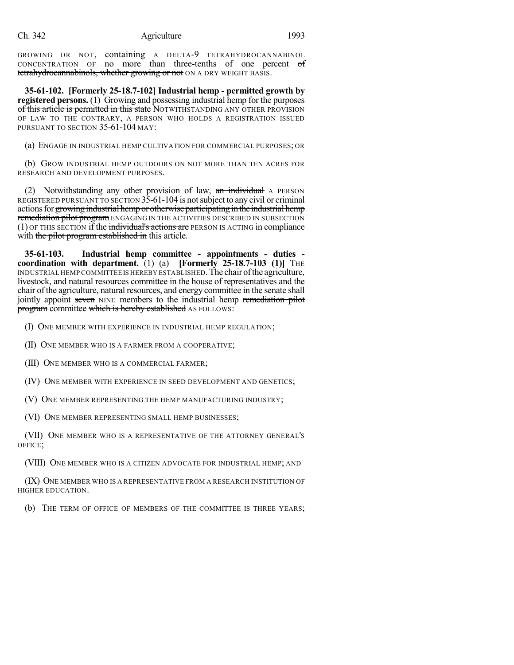GROWING OR NOT, containing A DELTA-9 TETRAHYDROCANNABINOL CONCENTRATION OF no more than three-tenths of one percent of tetrahydrocannabinols, whether growing or not ON A DRY WEIGHT BASIS.

**35-61-102. [Formerly 25-18.7-102] Industrial hemp - permitted growth by registered persons.** (1) Growing and possessing industrial hemp for the purposes of this article is permitted in this state NOTWITHSTANDING ANY OTHER PROVISION OF LAW TO THE CONTRARY, A PERSON WHO HOLDS A REGISTRATION ISSUED PURSUANT TO SECTION 35-61-104 MAY:

(a) ENGAGE IN INDUSTRIAL HEMP CULTIVATION FOR COMMERCIAL PURPOSES; OR

(b) GROW INDUSTRIAL HEMP OUTDOORS ON NOT MORE THAN TEN ACRES FOR RESEARCH AND DEVELOPMENT PURPOSES.

(2) Notwithstanding any other provision of law,  $\overline{an}$  individual A PERSON REGISTERED PURSUANT TO SECTION 35-61-104 is notsubject to any civil or criminal actions for growing industrial hemp or otherwise participating in the industrial hemp remediation pilot program ENGAGING IN THE ACTIVITIES DESCRIBED IN SUBSECTION  $(1)$  OF THIS SECTION if the individual's actions are PERSON IS ACTING in compliance with the pilot program established in this article.

**35-61-103. Industrial hemp committee - appointments - duties coordination with department.** (1) (a) **[Formerly 25-18.7-103 (1)]** THE INDUSTRIAL HEMP COMMITTEE IS HEREBY ESTABLISHED.The chair ofthe agriculture, livestock, and natural resources committee in the house of representatives and the chair ofthe agriculture, natural resources, and energy committee in the senate shall jointly appoint seven NINE members to the industrial hemp remediation pilot program committee which is hereby established AS FOLLOWS:

(I) ONE MEMBER WITH EXPERIENCE IN INDUSTRIAL HEMP REGULATION;

(II) ONE MEMBER WHO IS A FARMER FROM A COOPERATIVE;

(III) ONE MEMBER WHO IS A COMMERCIAL FARMER;

(IV) ONE MEMBER WITH EXPERIENCE IN SEED DEVELOPMENT AND GENETICS;

(V) ONE MEMBER REPRESENTING THE HEMP MANUFACTURING INDUSTRY;

(VI) ONE MEMBER REPRESENTING SMALL HEMP BUSINESSES;

(VII) ONE MEMBER WHO IS A REPRESENTATIVE OF THE ATTORNEY GENERAL'S OFFICE;

(VIII) ONE MEMBER WHO IS A CITIZEN ADVOCATE FOR INDUSTRIAL HEMP; AND

(IX) ONE MEMBER WHO IS A REPRESENTATIVE FROM A RESEARCH INSTITUTION OF HIGHER EDUCATION.

(b) THE TERM OF OFFICE OF MEMBERS OF THE COMMITTEE IS THREE YEARS;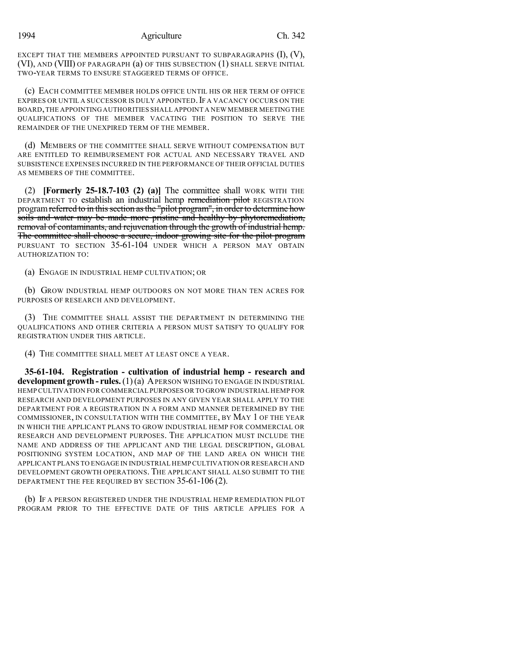1994 Agriculture Ch. 342

EXCEPT THAT THE MEMBERS APPOINTED PURSUANT TO SUBPARAGRAPHS  $(I), (V),$ (VI), AND (VIII) OF PARAGRAPH (a) OF THIS SUBSECTION (1) SHALL SERVE INITIAL TWO-YEAR TERMS TO ENSURE STAGGERED TERMS OF OFFICE.

(c) EACH COMMITTEE MEMBER HOLDS OFFICE UNTIL HIS OR HER TERM OF OFFICE EXPIRES OR UNTIL A SUCCESSOR IS DULY APPOINTED. IF A VACANCY OCCURS ON THE BOARD,THE APPOINTING AUTHORITIES SHALL APPOINT A NEW MEMBER MEETING THE QUALIFICATIONS OF THE MEMBER VACATING THE POSITION TO SERVE THE REMAINDER OF THE UNEXPIRED TERM OF THE MEMBER.

(d) MEMBERS OF THE COMMITTEE SHALL SERVE WITHOUT COMPENSATION BUT ARE ENTITLED TO REIMBURSEMENT FOR ACTUAL AND NECESSARY TRAVEL AND SUBSISTENCE EXPENSES INCURRED IN THE PERFORMANCE OF THEIR OFFICIAL DUTIES AS MEMBERS OF THE COMMITTEE.

(2) **[Formerly 25-18.7-103 (2) (a)]** The committee shall WORK WITH THE DEPARTMENT TO establish an industrial hemp remediation pilot REGISTRATION program referred to in this section as the "pilot program", in order to determine how soils and water may be made more pristine and healthy by phytoremediation, removal of contaminants, and rejuvenation through the growth of industrial hemp. The committee shall choose a secure, indoor growing site for the pilot program PURSUANT TO SECTION 35-61-104 UNDER WHICH A PERSON MAY OBTAIN AUTHORIZATION TO:

(a) ENGAGE IN INDUSTRIAL HEMP CULTIVATION; OR

(b) GROW INDUSTRIAL HEMP OUTDOORS ON NOT MORE THAN TEN ACRES FOR PURPOSES OF RESEARCH AND DEVELOPMENT.

(3) THE COMMITTEE SHALL ASSIST THE DEPARTMENT IN DETERMINING THE QUALIFICATIONS AND OTHER CRITERIA A PERSON MUST SATISFY TO QUALIFY FOR REGISTRATION UNDER THIS ARTICLE.

(4) THE COMMITTEE SHALL MEET AT LEAST ONCE A YEAR.

**35-61-104. Registration - cultivation of industrial hemp - research and development growth - rules.**(1)(a) APERSON WISHING TO ENGAGE IN INDUSTRIAL HEMP CULTIVATION FOR COMMERCIAL PURPOSES OR TO GROW INDUSTRIAL HEMP FOR RESEARCH AND DEVELOPMENT PURPOSES IN ANY GIVEN YEAR SHALL APPLY TO THE DEPARTMENT FOR A REGISTRATION IN A FORM AND MANNER DETERMINED BY THE COMMISSIONER, IN CONSULTATION WITH THE COMMITTEE, BY MAY 1 OF THE YEAR IN WHICH THE APPLICANT PLANS TO GROW INDUSTRIAL HEMP FOR COMMERCIAL OR RESEARCH AND DEVELOPMENT PURPOSES. THE APPLICATION MUST INCLUDE THE NAME AND ADDRESS OF THE APPLICANT AND THE LEGAL DESCRIPTION, GLOBAL POSITIONING SYSTEM LOCATION, AND MAP OF THE LAND AREA ON WHICH THE APPLICANT PLANS TO ENGAGE IN INDUSTRIAL HEMPCULTIVATION OR RESEARCH AND DEVELOPMENT GROWTH OPERATIONS. THE APPLICANT SHALL ALSO SUBMIT TO THE DEPARTMENT THE FEE REQUIRED BY SECTION 35-61-106 (2).

(b) IF A PERSON REGISTERED UNDER THE INDUSTRIAL HEMP REMEDIATION PILOT PROGRAM PRIOR TO THE EFFECTIVE DATE OF THIS ARTICLE APPLIES FOR A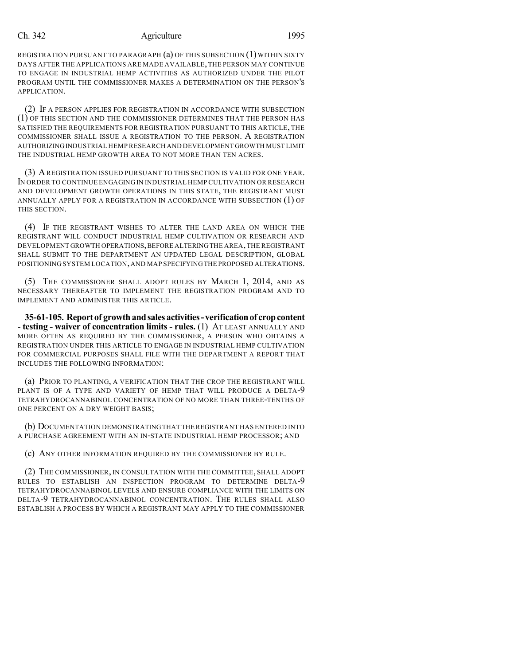## Ch. 342 Agriculture 1995

REGISTRATION PURSUANT TO PARAGRAPH (a) OF THIS SUBSECTION (1) WITHIN SIXTY DAYS AFTER THE APPLICATIONS ARE MADE AVAILABLE,THE PERSON MAY CONTINUE TO ENGAGE IN INDUSTRIAL HEMP ACTIVITIES AS AUTHORIZED UNDER THE PILOT PROGRAM UNTIL THE COMMISSIONER MAKES A DETERMINATION ON THE PERSON'S APPLICATION.

(2) IF A PERSON APPLIES FOR REGISTRATION IN ACCORDANCE WITH SUBSECTION (1) OF THIS SECTION AND THE COMMISSIONER DETERMINES THAT THE PERSON HAS SATISFIED THE REQUIREMENTS FOR REGISTRATION PURSUANT TO THIS ARTICLE, THE COMMISSIONER SHALL ISSUE A REGISTRATION TO THE PERSON. A REGISTRATION AUTHORIZINGINDUSTRIAL HEMP RESEARCH AND DEVELOPMENT GROWTH MUST LIMIT THE INDUSTRIAL HEMP GROWTH AREA TO NOT MORE THAN TEN ACRES.

(3) AREGISTRATION ISSUED PURSUANT TO THIS SECTION IS VALID FOR ONE YEAR. IN ORDER TO CONTINUE ENGAGING IN INDUSTRIAL HEMP CULTIVATION OR RESEARCH AND DEVELOPMENT GROWTH OPERATIONS IN THIS STATE, THE REGISTRANT MUST ANNUALLY APPLY FOR A REGISTRATION IN ACCORDANCE WITH SUBSECTION (1) OF THIS SECTION.

(4) IF THE REGISTRANT WISHES TO ALTER THE LAND AREA ON WHICH THE REGISTRANT WILL CONDUCT INDUSTRIAL HEMP CULTIVATION OR RESEARCH AND DEVELOPMENT GROWTH OPERATIONS,BEFORE ALTERINGTHE AREA,THE REGISTRANT SHALL SUBMIT TO THE DEPARTMENT AN UPDATED LEGAL DESCRIPTION, GLOBAL POSITIONING SYSTEM LOCATION,AND MAP SPECIFYINGTHE PROPOSED ALTERATIONS.

(5) THE COMMISSIONER SHALL ADOPT RULES BY MARCH 1, 2014, AND AS NECESSARY THEREAFTER TO IMPLEMENT THE REGISTRATION PROGRAM AND TO IMPLEMENT AND ADMINISTER THIS ARTICLE.

**35-61-105. Report of growthandsales activities-verificationof cropcontent - testing - waiver of concentration limits - rules.** (1) AT LEAST ANNUALLY AND MORE OFTEN AS REQUIRED BY THE COMMISSIONER, A PERSON WHO OBTAINS A REGISTRATION UNDER THIS ARTICLE TO ENGAGE IN INDUSTRIAL HEMP CULTIVATION FOR COMMERCIAL PURPOSES SHALL FILE WITH THE DEPARTMENT A REPORT THAT INCLUDES THE FOLLOWING INFORMATION:

(a) PRIOR TO PLANTING, A VERIFICATION THAT THE CROP THE REGISTRANT WILL PLANT IS OF A TYPE AND VARIETY OF HEMP THAT WILL PRODUCE A DELTA-9 TETRAHYDROCANNABINOL CONCENTRATION OF NO MORE THAN THREE-TENTHS OF ONE PERCENT ON A DRY WEIGHT BASIS;

(b) DOCUMENTATION DEMONSTRATINGTHAT THE REGISTRANT HAS ENTERED INTO A PURCHASE AGREEMENT WITH AN IN-STATE INDUSTRIAL HEMP PROCESSOR; AND

(c) ANY OTHER INFORMATION REQUIRED BY THE COMMISSIONER BY RULE.

(2) THE COMMISSIONER, IN CONSULTATION WITH THE COMMITTEE, SHALL ADOPT RULES TO ESTABLISH AN INSPECTION PROGRAM TO DETERMINE DELTA-9 TETRAHYDROCANNABINOL LEVELS AND ENSURE COMPLIANCE WITH THE LIMITS ON DELTA-9 TETRAHYDROCANNABINOL CONCENTRATION. THE RULES SHALL ALSO ESTABLISH A PROCESS BY WHICH A REGISTRANT MAY APPLY TO THE COMMISSIONER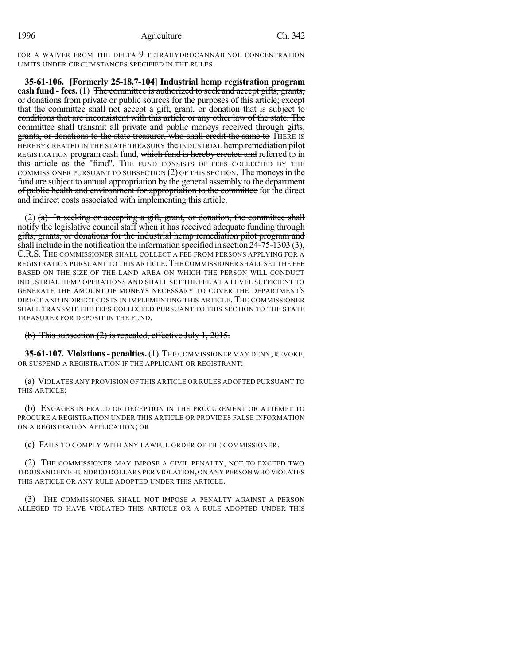FOR A WAIVER FROM THE DELTA-9 TETRAHYDROCANNABINOL CONCENTRATION LIMITS UNDER CIRCUMSTANCES SPECIFIED IN THE RULES.

**35-61-106. [Formerly 25-18.7-104] Industrial hemp registration program cash fund - fees.** (1) The committee is authorized to seek and accept gifts, grants, or donations from private or public sources for the purposes of this article; except that the committee shall not accept a gift, grant, or donation that is subject to conditions that are inconsistent with this article or any other law of the state. The committee shall transmit all private and public moneys received through gifts, grants, or donations to the state treasurer, who shall credit the same to THERE IS HEREBY CREATED IN THE STATE TREASURY the INDUSTRIAL hemp remediation pilot REGISTRATION program cash fund, which fund is hereby created and referred to in this article as the "fund". THE FUND CONSISTS OF FEES COLLECTED BY THE COMMISSIONER PURSUANT TO SUBSECTION (2) OF THIS SECTION. The moneysin the fund are subject to annual appropriation by the general assembly to the department of public health and environment for appropriation to the committee for the direct and indirect costs associated with implementing this article.

(2) (a) In seeking or accepting a gift, grant, or donation, the committee shall notify the legislative council staff when it has received adequate funding through gifts, grants, or donations for the industrial hemp remediation pilot program and shall include in the notification the information specified in section 24-75-1303 (3), **<del>C.R.S.</del>** The commissioner shall collect a fee from persons applying for a REGISTRATION PURSUANT TO THIS ARTICLE.THE COMMISSIONER SHALL SET THE FEE BASED ON THE SIZE OF THE LAND AREA ON WHICH THE PERSON WILL CONDUCT INDUSTRIAL HEMP OPERATIONS AND SHALL SET THE FEE AT A LEVEL SUFFICIENT TO GENERATE THE AMOUNT OF MONEYS NECESSARY TO COVER THE DEPARTMENT'S DIRECT AND INDIRECT COSTS IN IMPLEMENTING THIS ARTICLE. THE COMMISSIONER SHALL TRANSMIT THE FEES COLLECTED PURSUANT TO THIS SECTION TO THE STATE TREASURER FOR DEPOSIT IN THE FUND.

## (b) This subsection  $(2)$  is repealed, effective July 1, 2015.

**35-61-107. Violations- penalties.**(1) THE COMMISSIONER MAY DENY, REVOKE, OR SUSPEND A REGISTRATION IF THE APPLICANT OR REGISTRANT:

(a) VIOLATES ANY PROVISION OF THIS ARTICLE OR RULES ADOPTED PURSUANT TO THIS ARTICLE;

(b) ENGAGES IN FRAUD OR DECEPTION IN THE PROCUREMENT OR ATTEMPT TO PROCURE A REGISTRATION UNDER THIS ARTICLE OR PROVIDES FALSE INFORMATION ON A REGISTRATION APPLICATION; OR

(c) FAILS TO COMPLY WITH ANY LAWFUL ORDER OF THE COMMISSIONER.

(2) THE COMMISSIONER MAY IMPOSE A CIVIL PENALTY, NOT TO EXCEED TWO THOUSAND FIVE HUNDRED DOLLARS PER VIOLATION,ON ANY PERSON WHO VIOLATES THIS ARTICLE OR ANY RULE ADOPTED UNDER THIS ARTICLE.

(3) THE COMMISSIONER SHALL NOT IMPOSE A PENALTY AGAINST A PERSON ALLEGED TO HAVE VIOLATED THIS ARTICLE OR A RULE ADOPTED UNDER THIS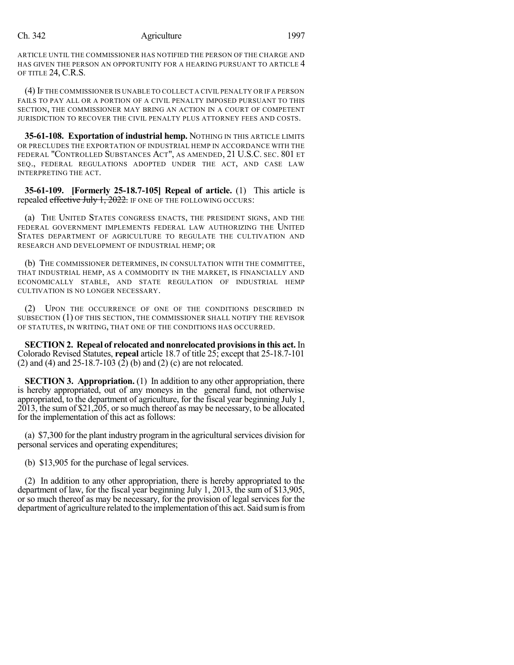#### Ch. 342 Agriculture 1997

ARTICLE UNTIL THE COMMISSIONER HAS NOTIFIED THE PERSON OF THE CHARGE AND HAS GIVEN THE PERSON AN OPPORTUNITY FOR A HEARING PURSUANT TO ARTICLE 4 OF TITLE 24, C.R.S.

(4) IF THE COMMISSIONER IS UNABLE TO COLLECT A CIVIL PENALTY OR IF A PERSON FAILS TO PAY ALL OR A PORTION OF A CIVIL PENALTY IMPOSED PURSUANT TO THIS SECTION, THE COMMISSIONER MAY BRING AN ACTION IN A COURT OF COMPETENT JURISDICTION TO RECOVER THE CIVIL PENALTY PLUS ATTORNEY FEES AND COSTS.

**35-61-108. Exportation of industrial hemp.** NOTHING IN THIS ARTICLE LIMITS OR PRECLUDES THE EXPORTATION OF INDUSTRIAL HEMP IN ACCORDANCE WITH THE FEDERAL "CONTROLLED SUBSTANCES ACT", AS AMENDED, 21 U.S.C. SEC. 801 ET SEQ., FEDERAL REGULATIONS ADOPTED UNDER THE ACT, AND CASE LAW INTERPRETING THE ACT.

**35-61-109. [Formerly 25-18.7-105] Repeal of article.** (1) This article is repealed effective July 1, 2022. IF ONE OF THE FOLLOWING OCCURS:

(a) THE UNITED STATES CONGRESS ENACTS, THE PRESIDENT SIGNS, AND THE FEDERAL GOVERNMENT IMPLEMENTS FEDERAL LAW AUTHORIZING THE UNITED STATES DEPARTMENT OF AGRICULTURE TO REGULATE THE CULTIVATION AND RESEARCH AND DEVELOPMENT OF INDUSTRIAL HEMP; OR

(b) THE COMMISSIONER DETERMINES, IN CONSULTATION WITH THE COMMITTEE, THAT INDUSTRIAL HEMP, AS A COMMODITY IN THE MARKET, IS FINANCIALLY AND ECONOMICALLY STABLE, AND STATE REGULATION OF INDUSTRIAL HEMP CULTIVATION IS NO LONGER NECESSARY.

(2) UPON THE OCCURRENCE OF ONE OF THE CONDITIONS DESCRIBED IN SUBSECTION (1) OF THIS SECTION, THE COMMISSIONER SHALL NOTIFY THE REVISOR OF STATUTES, IN WRITING, THAT ONE OF THE CONDITIONS HAS OCCURRED.

**SECTION 2. Repeal of relocated and nonrelocated provisionsin this act.** In Colorado Revised Statutes, **repeal** article 18.7 of title 25; except that 25-18.7-101 (2) and (4) and 25-18.7-103 (2) (b) and (2) (c) are not relocated.

**SECTION 3. Appropriation.** (1) In addition to any other appropriation, there is hereby appropriated, out of any moneys in the general fund, not otherwise appropriated, to the department of agriculture, for the fiscal year beginning July 1, 2013, the sum of \$21,205, or so much thereof as may be necessary, to be allocated for the implementation of this act as follows:

(a)  $$7,300$  for the plant industry program in the agricultural services division for personal services and operating expenditures;

(b) \$13,905 for the purchase of legal services.

(2) In addition to any other appropriation, there is hereby appropriated to the department of law, for the fiscal year beginning July 1, 2013, the sum of \$13,905, or so much thereof as may be necessary, for the provision of legal services for the department of agriculture related to the implementation of this act. Said sum is from